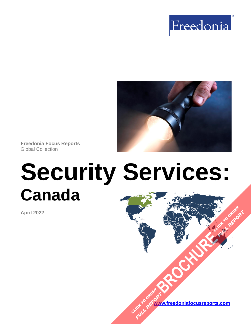



**Freedonia Focus Reports** Global Collection

# **Security Services: Canada**

**April 2022**

**[www.freedoniafocusreports.com](https://www.freedoniafocusreports.com/redirect.asp?progid=89534&url=/)** CLICK TO ORDER **FULL REPORT** 

**[BROCHURE](https://www.freedoniafocusreports.com/Security-Services-Canada-FA80034/?progid=89541) CLICK TO ORDER** 

**FULL REPORT**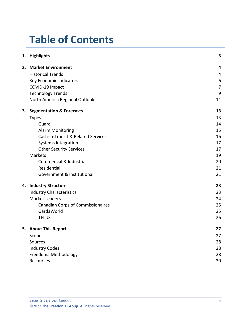# **Table of Contents**

|  | 1. Highlights                            | 3              |
|--|------------------------------------------|----------------|
|  | 2. Market Environment                    | 4              |
|  | <b>Historical Trends</b>                 | 4              |
|  | Key Economic Indicators                  | 6              |
|  | COVID-19 Impact                          | $\overline{7}$ |
|  | <b>Technology Trends</b>                 | 9              |
|  | North America Regional Outlook           | 11             |
|  | 3. Segmentation & Forecasts              | 13             |
|  | <b>Types</b>                             | 13             |
|  | Guard                                    | 14             |
|  | <b>Alarm Monitoring</b>                  | 15             |
|  | Cash-in-Transit & Related Services       | 16             |
|  | <b>Systems Integration</b>               | 17             |
|  | <b>Other Security Services</b>           | 17             |
|  | <b>Markets</b>                           | 19             |
|  | Commercial & Industrial                  | 20             |
|  | Residential                              | 21             |
|  | Government & Institutional               | 21             |
|  | 4. Industry Structure                    | 23             |
|  | <b>Industry Characteristics</b>          | 23             |
|  | <b>Market Leaders</b>                    | 24             |
|  | <b>Canadian Corps of Commissionaires</b> | 25             |
|  | GardaWorld                               | 25             |
|  | <b>TELUS</b>                             | 26             |
|  | 5. About This Report                     | 27             |
|  | Scope                                    | 27             |
|  | Sources                                  | 28             |
|  | <b>Industry Codes</b>                    | 28             |
|  | Freedonia Methodology                    | 28             |
|  | Resources                                | 30             |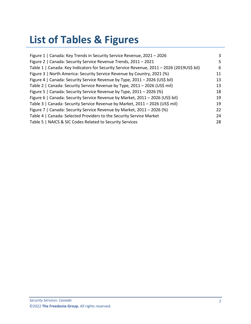# **List of Tables & Figures**

| Figure 1   Canada: Key Trends in Security Service Revenue, 2021 - 2026                    | 3  |
|-------------------------------------------------------------------------------------------|----|
| Figure 2   Canada: Security Service Revenue Trends, 2011 - 2021                           | 5  |
| Table 1   Canada: Key Indicators for Security Service Revenue, 2011 - 2026 (2019US\$ bil) | 6  |
| Figure 3   North America: Security Service Revenue by Country, 2021 (%)                   | 11 |
| Figure 4   Canada: Security Service Revenue by Type, 2011 - 2026 (US\$ bil)               | 13 |
| Table 2   Canada: Security Service Revenue by Type, 2011 - 2026 (US\$ mil)                | 13 |
| Figure 5   Canada: Security Service Revenue by Type, 2011 - 2026 (%)                      | 18 |
| Figure 6   Canada: Security Service Revenue by Market, 2011 - 2026 (US\$ bil)             | 19 |
| Table 3   Canada: Security Service Revenue by Market, 2011 - 2026 (US\$ mil)              | 19 |
| Figure 7   Canada: Security Service Revenue by Market, 2011 - 2026 (%)                    | 22 |
| Table 4   Canada: Selected Providers to the Security Service Market                       | 24 |
| Table 5   NAICS & SIC Codes Related to Security Services                                  | 28 |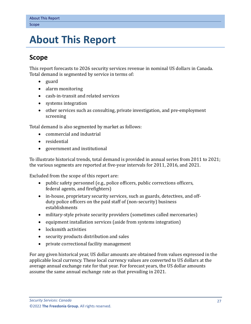# <span id="page-3-0"></span>**5. About This Report**

## <span id="page-3-1"></span>**Scope**

This report forecasts to 2026 security services revenue in nominal US dollars in Canada. Total demand is segmented by service in terms of:

- guard
- alarm monitoring
- cash-in-transit and related services
- systems integration
- other services such as consulting, private investigation, and pre-employment screening

Total demand is also segmented by market as follows:

- commercial and industrial
- residential
- government and institutional

To illustrate historical trends, total demand is provided in annual series from 2011 to 2021; the various segments are reported at five-year intervals for 2011, 2016, and 2021.

Excluded from the scope of this report are:

- public safety personnel (e.g., police officers, public corrections officers, federal agents, and firefighters)
- in-house, proprietary security services, such as guards, detectives, and offduty police officers on the paid staff of (non-security) business establishments
- military-style private security providers (sometimes called mercenaries)
- equipment installation services (aside from systems integration)
- locksmith activities
- security products distribution and sales
- private correctional facility management

For any given historical year, US dollar amounts are obtained from values expressed in the applicable local currency. These local currency values are converted to US dollars at the average annual exchange rate for that year. For forecast years, the US dollar amounts assume the same annual exchange rate as that prevailing in 2021.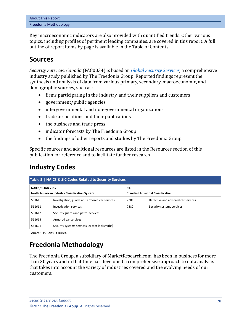| About This Report     |  |  |
|-----------------------|--|--|
| Freedonia Methodology |  |  |

Key macroeconomic indicators are also provided with quantified trends. Other various topics, including profiles of pertinent leading companies, are covered in this report. A full outline of report items by page is available in the Table of Contents.

## <span id="page-4-0"></span>**Sources**

*Security Services: Canada* (FA80034) is based on *[Global Security Services,](http://www.freedoniagroup.com/DocumentDetails.aspx?ReferrerId=FL-FOCUS&studyid=4399)* a comprehensive industry study published by The Freedonia Group. Reported findings represent the synthesis and analysis of data from various primary, secondary, macroeconomic, and demographic sources, such as:

- firms participating in the industry, and their suppliers and customers
- government/public agencies
- intergovernmental and non-governmental organizations
- trade associations and their publications
- the business and trade press
- indicator forecasts by The Freedonia Group
- the findings of other reports and studies by The Freedonia Group

Specific sources and additional resources are listed in the Resources section of this publication for reference and to facilitate further research.

# <span id="page-4-1"></span>**Industry Codes**

<span id="page-4-3"></span>

| Table 5   NAICS & SIC Codes Related to Security Services |                                                |                                           |                                    |  |  |  |
|----------------------------------------------------------|------------------------------------------------|-------------------------------------------|------------------------------------|--|--|--|
| <b>NAICS/SCIAN 2017</b>                                  |                                                | <b>SIC</b>                                |                                    |  |  |  |
| North American Industry Classification System            |                                                | <b>Standard Industrial Classification</b> |                                    |  |  |  |
| 56161                                                    | Investigation, guard, and armored car services | 7381                                      | Detective and armored car services |  |  |  |
| 561611                                                   | Investigation services                         | 7382                                      | Security systems services          |  |  |  |
| 561612                                                   | Security guards and patrol services            |                                           |                                    |  |  |  |
| 561613                                                   | Armored car services                           |                                           |                                    |  |  |  |
| 561621                                                   | Security systems services (except locksmiths)  |                                           |                                    |  |  |  |

Source: US Census Bureau

# <span id="page-4-2"></span>**Freedonia Methodology**

The Freedonia Group, a subsidiary of MarketResearch.com, has been in business for more than 30 years and in that time has developed a comprehensive approach to data analysis that takes into account the variety of industries covered and the evolving needs of our customers.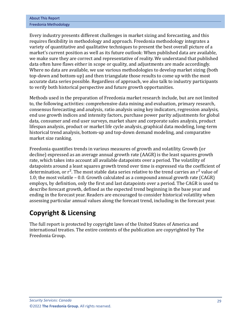| <b>About This Report</b> |  |
|--------------------------|--|
| Freedonia Methodology    |  |

Every industry presents different challenges in market sizing and forecasting, and this requires flexibility in methodology and approach. Freedonia methodology integrates a variety of quantitative and qualitative techniques to present the best overall picture of a market's current position as well as its future outlook: When published data are available, we make sure they are correct and representative of reality. We understand that published data often have flaws either in scope or quality, and adjustments are made accordingly. Where no data are available, we use various methodologies to develop market sizing (both top-down and bottom-up) and then triangulate those results to come up with the most accurate data series possible. Regardless of approach, we also talk to industry participants to verify both historical perspective and future growth opportunities.

Methods used in the preparation of Freedonia market research include, but are not limited to, the following activities: comprehensive data mining and evaluation, primary research, consensus forecasting and analysis, ratio analysis using key indicators, regression analysis, end use growth indices and intensity factors, purchase power parity adjustments for global data, consumer and end user surveys, market share and corporate sales analysis, product lifespan analysis, product or market life cycle analysis, graphical data modeling, long-term historical trend analysis, bottom-up and top-down demand modeling, and comparative market size ranking.

Freedonia quantifies trends in various measures of growth and volatility. Growth (or decline) expressed as an average annual growth rate (AAGR) is the least squares growth rate, which takes into account all available datapoints over a period. The volatility of datapoints around a least squares growth trend over time is expressed via the coefficient of determination, or  $r^2$ . The most stable data series relative to the trend carries an  $r^2$  value of 1.0; the most volatile – 0.0. Growth calculated as a compound annual growth rate (CAGR) employs, by definition, only the first and last datapoints over a period. The CAGR is used to describe forecast growth, defined as the expected trend beginning in the base year and ending in the forecast year. Readers are encouraged to consider historical volatility when assessing particular annual values along the forecast trend, including in the forecast year.

# **Copyright & Licensing**

The full report is protected by copyright laws of the United States of America and international treaties. The entire contents of the publication are copyrighted by The Freedonia Group.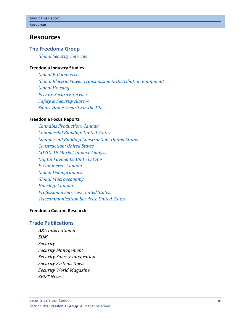## <span id="page-6-0"></span>**Resources**

#### **The Freedonia Group**

*[Global Security Services](http://www.freedoniagroup.com/DocumentDetails.aspx?ReferrerId=FL-FOCUS&studyid=4399)*

#### **[Freedonia Industry Studies](http://www.freedoniagroup.com/Home.aspx?ReferrerId=FL-Focus)**

*[Global E-Commerce](https://www.freedoniagroup.com/DocumentDetails.aspx?ReferrerId=FL-FOCUS&StudyId=3724) [Global Electric Power Transmission & Distribution Equipment](https://www.freedoniagroup.com/DocumentDetails.aspx?ReferrerId=FL-FOCUS&StudyId=3805) [Global Housing](https://www.freedoniagroup.com/DocumentDetails.aspx?ReferrerId=FL-FOCUS&StudyId=4331) [Private Security Services](https://www.freedoniagroup.com/DocumentDetails.aspx?ReferrerId=FL-FOCUS&StudyId=3764) [Safety & Security Alarms](https://www.freedoniagroup.com/DocumentDetails.aspx?ReferrerId=FL-FOCUS&StudyId=3784) [Smart Home Security in the US](https://www.freedoniagroup.com/DocumentDetails.aspx?ReferrerId=FL-FOCUS&StudyId=3639)*

#### **[Freedonia Focus Reports](https://www.freedoniafocusreports.com/redirect.asp?progid=89534&url=/)**

*[Cannabis Production: Canada](https://www.freedoniafocusreports.com/Cannabis-Production-Canada-FA10064/?progid=89534) [Commercial Banking: United States](https://www.freedoniafocusreports.com/Commercial-Banking-United-States-FF95010/?progid=89534) [Commercial Building Construction: United States](https://www.freedoniafocusreports.com/Commercial-Building-Construction-United-States-FF60032/?progid=89534) [Construction: United States](https://www.freedoniafocusreports.com/Construction-United-States-FF60054/?progid=89534) [COVID-19 Market Impact Analysis](https://www.freedoniafocusreports.com/COVID-19-Market-Impact-Analysis-FW95079/?progid=89534) [Digital Payments: United States](https://www.freedoniafocusreports.com/Digital-Payments-United-States-FF95071/?progid=89534) [E-Commerce: Canada](https://www.freedoniafocusreports.com/E-Commerce-Canada-FA90043/?progid=89534) [Global Demographics](https://www.freedoniafocusreports.com/Global-Demographics-FW95050/?progid=89534) [Global Macroeconomy](https://www.freedoniafocusreports.com/Global-Macroeconomy-FW95051/?progid=89534) [Housing: Canada](https://www.freedoniafocusreports.com/Housing-Canada-FA60024/?progid=89534) [Professional Services: United States](https://www.freedoniafocusreports.com/Professional-Services-United-States-FF95063/?progid=89534) [Telecommunication Services: United States](https://www.freedoniafocusreports.com/Telecommunication-Services-United-States-FF80027/?progid=89534)*

#### **[Freedonia Custom Research](http://www.freedoniagroup.com/CustomResearch.aspx?ReferrerId=FL-Focus)**

#### **Trade Publications**

*A&S International SDM Security Security Management Security Sales & Integration Security Systems News Security World Magazine SP&T News*